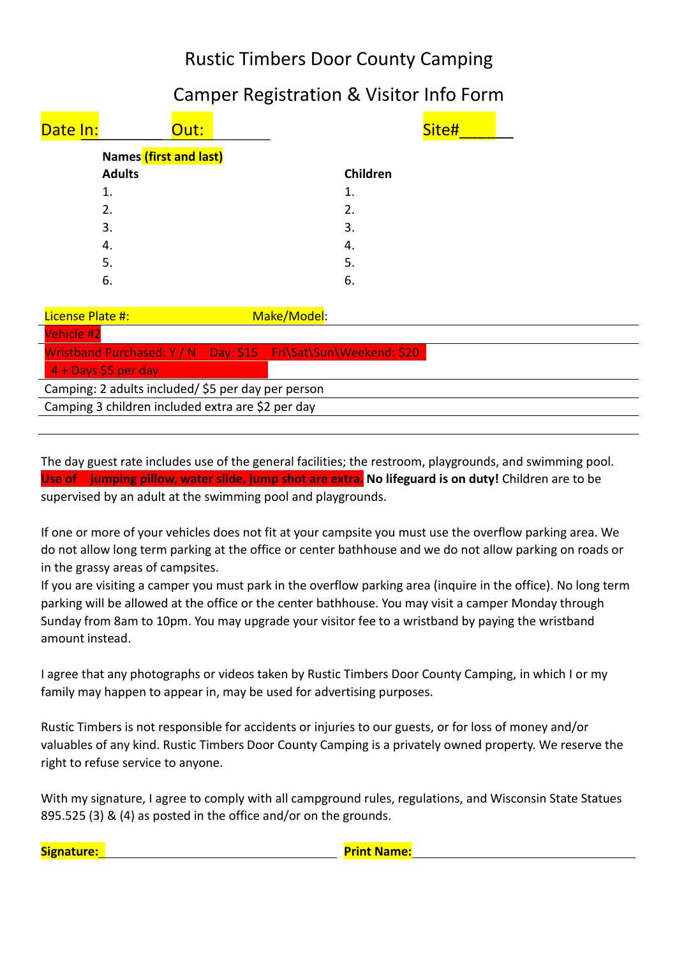## Rustic Timbers Door County Camping

## Camper Registration & Visitor Info Form

| Date In:                      | Out:          |          | Site# |  |
|-------------------------------|---------------|----------|-------|--|
| <b>Names</b> (first and last) |               |          |       |  |
|                               | <b>Adults</b> | Children |       |  |
|                               | 1.            | 1.       |       |  |
|                               | 2.            | 2.       |       |  |
|                               | 3.            | 3.       |       |  |
|                               | 4.            | 4.       |       |  |
|                               | 5.            | 5.       |       |  |
|                               | 6.            | 6.       |       |  |
|                               |               |          |       |  |

| License Plate #:                                  |                      |  | Make/Model:                                                      |  |  |  |  |
|---------------------------------------------------|----------------------|--|------------------------------------------------------------------|--|--|--|--|
|                                                   | <b>Vehicle #2</b>    |  |                                                                  |  |  |  |  |
|                                                   |                      |  | Wristband Purchased: Y / N  Day: \$15  Fri\Sat\Sun\Weekend: \$20 |  |  |  |  |
|                                                   | 4 + Days \$5 per day |  |                                                                  |  |  |  |  |
| Camping: 2 adults included/\$5 per day per person |                      |  |                                                                  |  |  |  |  |
| Camping 3 children included extra are \$2 per day |                      |  |                                                                  |  |  |  |  |
|                                                   |                      |  |                                                                  |  |  |  |  |

The day guest rate includes use of the general facilities; the restroom, playgrounds, and swimming pool. **Use of jumping pillow, water slide, jump shot are extra. No lifeguard is on duty!** Children are to be supervised by an adult at the swimming pool and playgrounds.

If one or more of your vehicles does not fit at your campsite you must use the overflow parking area. We do not allow long term parking at the office or center bathhouse and we do not allow parking on roads or in the grassy areas of campsites.

If you are visiting a camper you must park in the overflow parking area (inquire in the office). No long term parking will be allowed at the office or the center bathhouse. You may visit a camper Monday through Sunday from 8am to 10pm. You may upgrade your visitor fee to a wristband by paying the wristband amount instead.

I agree that any photographs or videos taken by Rustic Timbers Door County Camping, in which I or my family may happen to appear in, may be used for advertising purposes.

Rustic Timbers is not responsible for accidents or injuries to our guests, or for loss of money and/or valuables of any kind. Rustic Timbers Door County Camping is a privately owned property. We reserve the right to refuse service to anyone.

With my signature, I agree to comply with all campground rules, regulations, and Wisconsin State Statues 895.525 (3) & (4) as posted in the office and/or on the grounds.

**Signature: Print Name: Print Name: Print Name: Print Name: Print Name: Print Name: Print Name: Print Name: Print Name: Print Name: Print Name: Print Name: Print Name: Print Name: Print Name:**